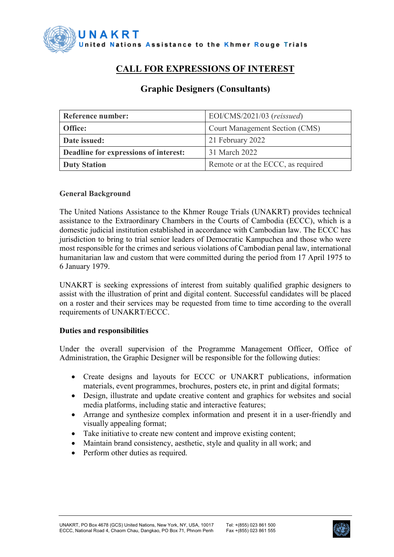

# **CALL FOR EXPRESSIONS OF INTEREST**

| Reference number:                     | EOI/CMS/2021/03 (reissued)            |
|---------------------------------------|---------------------------------------|
| Office:                               | <b>Court Management Section (CMS)</b> |
| Date issued:                          | 21 February 2022                      |
| Deadline for expressions of interest: | 31 March 2022                         |
| <b>Duty Station</b>                   | Remote or at the ECCC, as required    |

# **Graphic Designers (Consultants)**

## **General Background**

The [United Nations Assistance to the Khmer Rouge Trials \(UNAKRT\)](http://www.unakrt-online.org/about-us) provides technical assistance to the [Extraordinary Chambers in the Courts of Cambodia \(ECCC\),](https://www.eccc.gov.kh/en/) which is a domestic judicial institution [established in accordance with Cambodian law.](https://www.eccc.gov.kh/sites/default/files/legal-documents/KR_Law_as_amended_27_Oct_2004_Eng.pdf) The ECCC has jurisdiction to bring to trial senior leaders of Democratic Kampuchea and those who were most responsible for the crimes and serious violations of Cambodian penal law, international humanitarian law and custom that were committed during the period from 17 April 1975 to 6 January 1979.

UNAKRT is seeking expressions of interest from suitably qualified graphic designers to assist with the illustration of print and digital content. Successful candidates will be placed on a roster and their services may be requested from time to time according to the overall requirements of UNAKRT/ECCC.

#### **Duties and responsibilities**

Under the overall supervision of the Programme Management Officer, Office of Administration, the Graphic Designer will be responsible for the following duties:

- Create designs and layouts for ECCC or UNAKRT publications, information materials, event programmes, brochures, posters etc, in print and digital formats;
- Design, illustrate and update creative content and graphics for websites and social media platforms, including static and interactive features;
- Arrange and synthesize complex information and present it in a user-friendly and visually appealing format;
- Take initiative to create new content and improve existing content;
- Maintain brand consistency, aesthetic, style and quality in all work; and
- Perform other duties as required.

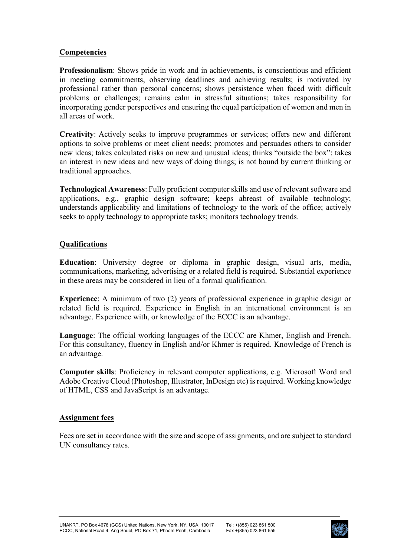## **Competencies**

**Professionalism**: Shows pride in work and in achievements, is conscientious and efficient in meeting commitments, observing deadlines and achieving results; is motivated by professional rather than personal concerns; shows persistence when faced with difficult problems or challenges; remains calm in stressful situations; takes responsibility for incorporating gender perspectives and ensuring the equal participation of women and men in all areas of work.

**Creativity**: Actively seeks to improve programmes or services; offers new and different options to solve problems or meet client needs; promotes and persuades others to consider new ideas; takes calculated risks on new and unusual ideas; thinks "outside the box"; takes an interest in new ideas and new ways of doing things; is not bound by current thinking or traditional approaches.

**Technological Awareness**: Fully proficient computer skills and use of relevant software and applications, e.g., graphic design software; keeps abreast of available technology; understands applicability and limitations of technology to the work of the office; actively seeks to apply technology to appropriate tasks; monitors technology trends.

## **Qualifications**

**Education**: University degree or diploma in graphic design, visual arts, media, communications, marketing, advertising or a related field is required. Substantial experience in these areas may be considered in lieu of a formal qualification.

**Experience**: A minimum of two (2) years of professional experience in graphic design or related field is required. Experience in English in an international environment is an advantage. Experience with, or knowledge of the ECCC is an advantage.

**Language**: The official working languages of the ECCC are Khmer, English and French. For this consultancy, fluency in English and/or Khmer is required. Knowledge of French is an advantage.

**Computer skills**: Proficiency in relevant computer applications, e.g. Microsoft Word and Adobe Creative Cloud (Photoshop, Illustrator, InDesign etc) is required. Working knowledge of HTML, CSS and JavaScript is an advantage.

#### **Assignment fees**

Fees are set in accordance with the size and scope of assignments, and are subject to standard UN consultancy rates.